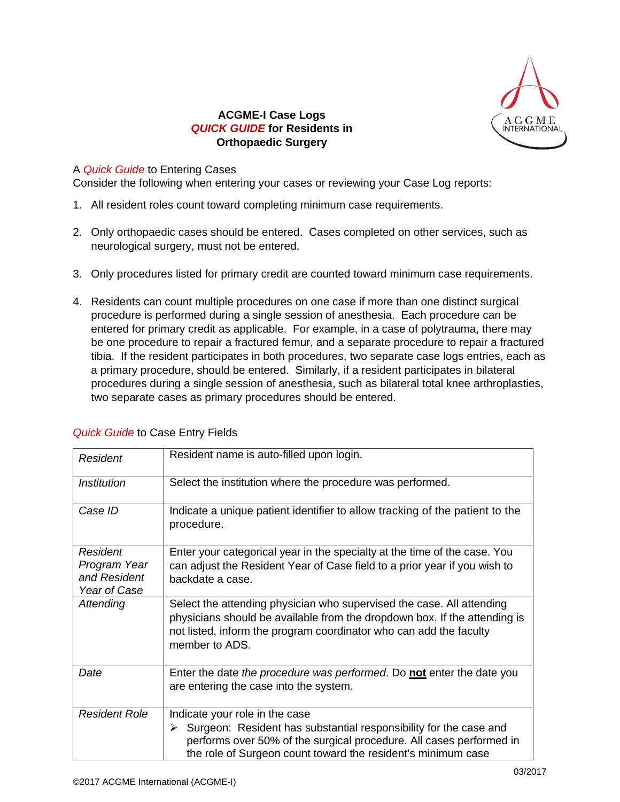

## **ACGME-I Case Logs** *QUICK GUIDE* **for Residents in Orthopaedic Surgery**

## A *Quick Guide* to Entering Cases

Consider the following when entering your cases or reviewing your Case Log reports:

- 1. All resident roles count toward completing minimum case requirements.
- 2. Only orthopaedic cases should be entered. Cases completed on other services, such as neurological surgery, must not be entered.
- 3. Only procedures listed for primary credit are counted toward minimum case requirements.
- 4. Residents can count multiple procedures on one case if more than one distinct surgical procedure is performed during a single session of anesthesia. Each procedure can be entered for primary credit as applicable. For example, in a case of polytrauma, there may be one procedure to repair a fractured femur, and a separate procedure to repair a fractured tibia. If the resident participates in both procedures, two separate case logs entries, each as a primary procedure, should be entered. Similarly, if a resident participates in bilateral procedures during a single session of anesthesia, such as bilateral total knee arthroplasties, two separate cases as primary procedures should be entered.

| Resident                                                        | Resident name is auto-filled upon login.                                                                                                                                                                                                        |
|-----------------------------------------------------------------|-------------------------------------------------------------------------------------------------------------------------------------------------------------------------------------------------------------------------------------------------|
| <b>Institution</b>                                              | Select the institution where the procedure was performed.                                                                                                                                                                                       |
| Case ID                                                         | Indicate a unique patient identifier to allow tracking of the patient to the<br>procedure.                                                                                                                                                      |
| <b>Resident</b><br>Program Year<br>and Resident<br>Year of Case | Enter your categorical year in the specialty at the time of the case. You<br>can adjust the Resident Year of Case field to a prior year if you wish to<br>backdate a case.                                                                      |
| Attending                                                       | Select the attending physician who supervised the case. All attending<br>physicians should be available from the dropdown box. If the attending is<br>not listed, inform the program coordinator who can add the faculty<br>member to ADS.      |
| Date                                                            | Enter the date the procedure was performed. Do not enter the date you<br>are entering the case into the system.                                                                                                                                 |
| <b>Resident Role</b>                                            | Indicate your role in the case<br>Surgeon: Resident has substantial responsibility for the case and<br>➤<br>performs over 50% of the surgical procedure. All cases performed in<br>the role of Surgeon count toward the resident's minimum case |

## *Quick Guide* to Case Entry Fields